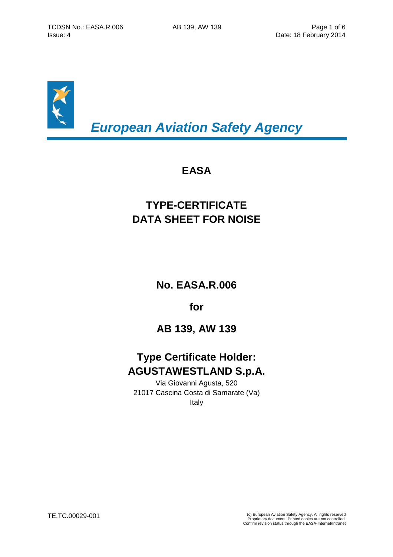

# **EASA**

# **TYPE-CERTIFICATE DATA SHEET FOR NOISE**

**No. EASA.R.006** 

**for** 

**AB 139, AW 139** 

## **Type Certificate Holder: AGUSTAWESTLAND S.p.A.**

Via Giovanni Agusta, 520 21017 Cascina Costa di Samarate (Va) Italy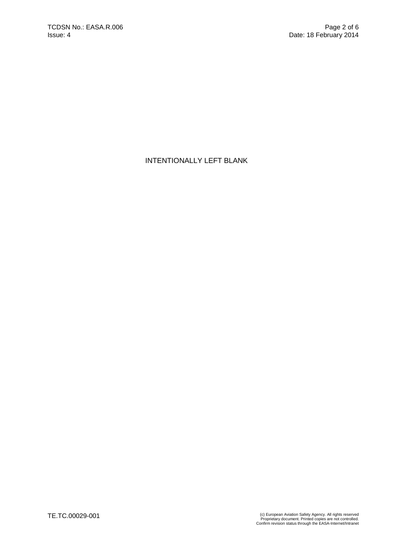## INTENTIONALLY LEFT BLANK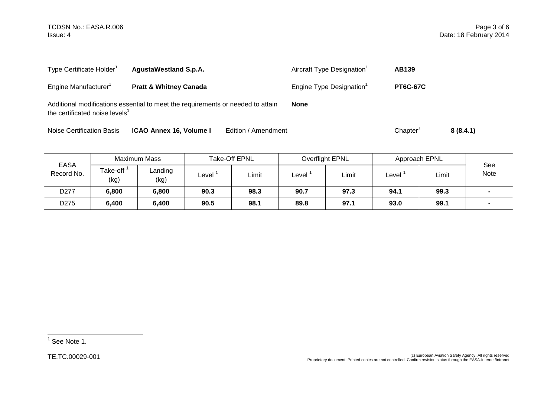| Type Certificate Holder <sup>1</sup>       | <b>AgustaWestland S.p.A.</b>                                                    |                     | Aircraft Type Designation <sup>1</sup> | AB139                |          |
|--------------------------------------------|---------------------------------------------------------------------------------|---------------------|----------------------------------------|----------------------|----------|
| Engine Manufacturer <sup>1</sup>           | <b>Pratt &amp; Whitney Canada</b>                                               |                     | Engine Type Designation <sup>1</sup>   | <b>PT6C-67C</b>      |          |
| the certificated noise levels <sup>1</sup> | Additional modifications essential to meet the requirements or needed to attain |                     | <b>None</b>                            |                      |          |
| Noise Certification Basis                  | <b>ICAO Annex 16, Volume I</b>                                                  | Edition / Amendment |                                        | Chapter <sup>1</sup> | 8(8.4.1) |

| <b>EASA</b> | Maximum Mass     |                 | Take-Off EPNL |       | Overflight EPNL |       | Approach EPNL |       | See  |
|-------------|------------------|-----------------|---------------|-------|-----------------|-------|---------------|-------|------|
| Record No.  | Take-off<br>(kg) | Landing<br>(kg) | ∟evel         | Limit | Level           | Limit | Level         | Limit | Note |
| D277        | 6,800            | 6,800           | 90.3          | 98.3  | 90.7            | 97.3  | 94.1          | 99.3  |      |
| D275        | 6,400            | 6,400           | 90.5          | 98.1  | 89.8            | 97.1  | 93.0          | 99.1  |      |

 $1$  See Note 1.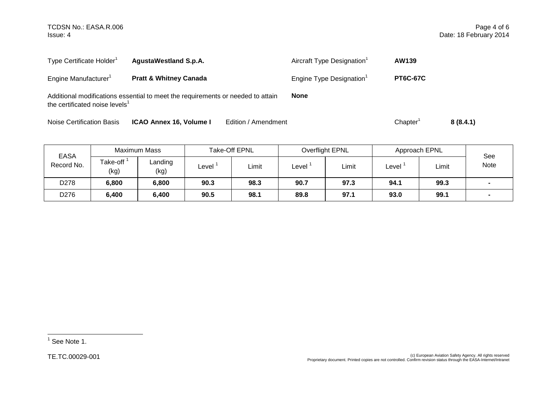TCDSN No.: EASA.R.006<br>Issue: 4

| Type Certificate Holder <sup>1</sup>       | <b>AgustaWestland S.p.A.</b>                                                    |                     | Aircraft Type Designation <sup>1</sup> | AW139           |          |
|--------------------------------------------|---------------------------------------------------------------------------------|---------------------|----------------------------------------|-----------------|----------|
| Engine Manufacturer <sup>1</sup>           | <b>Pratt &amp; Whitney Canada</b>                                               |                     | Engine Type Designation <sup>1</sup>   | <b>PT6C-67C</b> |          |
| the certificated noise levels <sup>1</sup> | Additional modifications essential to meet the requirements or needed to attain |                     | <b>None</b>                            |                 |          |
| Noise Certification Basis                  | <b>ICAO Annex 16, Volume I</b>                                                  | Edition / Amendment |                                        | <b>Chapter</b>  | 8(8.4.1) |

| <b>EASA</b> | Maximum Mass     |                 | Take-Off EPNL |       | Overflight EPNL |       | Approach EPNL |       | See  |
|-------------|------------------|-----------------|---------------|-------|-----------------|-------|---------------|-------|------|
| Record No.  | Take-off<br>(kg) | Landing<br>(kg) | _evel         | Limit | ∟evel           | Limit | ∟evel         | Limit | Note |
| D278        | 6,800            | 6,800           | 90.3          | 98.3  | 90.7            | 97.3  | 94.1          | 99.3  |      |
| D276        | 6,400            | 6,400           | 90.5          | 98.1  | 89.8            | 97.1  | 93.0          | 99.1  |      |

 $1$  See Note 1.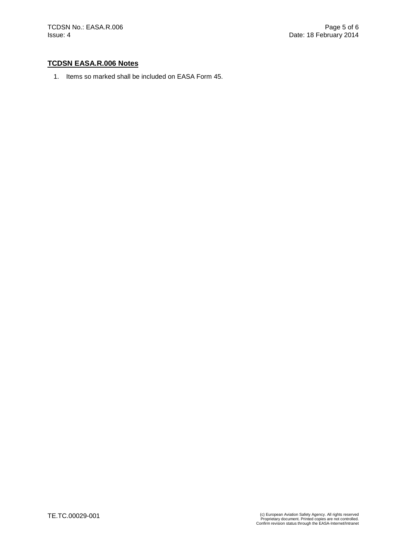TCDSN No.: EASA.R.006 Page 5 of 6<br>Issue: 4 Date: 18 February 2014

#### **TCDSN EASA.R.006 Notes**

1. Items so marked shall be included on EASA Form 45.